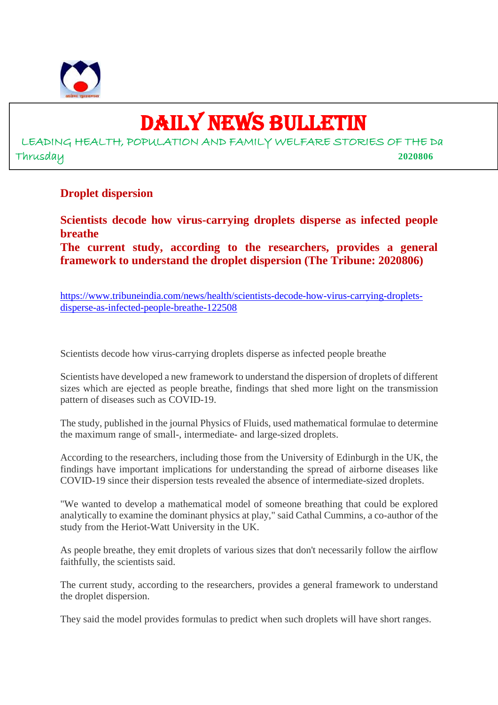

# DAILY NEWS BULLETIN

LEADING HEALTH, POPULATION AND FAMILY WELFARE STORIES OF THE Da Thrusday **2020806**

#### **Droplet dispersion**

**Scientists decode how virus-carrying droplets disperse as infected people breathe**

**The current study, according to the researchers, provides a general framework to understand the droplet dispersion (The Tribune: 2020806)**

https://www.tribuneindia.com/news/health/scientists-decode-how-virus-carrying-dropletsdisperse-as-infected-people-breathe-122508

Scientists decode how virus-carrying droplets disperse as infected people breathe

Scientists have developed a new framework to understand the dispersion of droplets of different sizes which are ejected as people breathe, findings that shed more light on the transmission pattern of diseases such as COVID-19.

The study, published in the journal Physics of Fluids, used mathematical formulae to determine the maximum range of small-, intermediate- and large-sized droplets.

According to the researchers, including those from the University of Edinburgh in the UK, the findings have important implications for understanding the spread of airborne diseases like COVID-19 since their dispersion tests revealed the absence of intermediate-sized droplets.

"We wanted to develop a mathematical model of someone breathing that could be explored analytically to examine the dominant physics at play," said Cathal Cummins, a co-author of the study from the Heriot-Watt University in the UK.

As people breathe, they emit droplets of various sizes that don't necessarily follow the airflow faithfully, the scientists said.

The current study, according to the researchers, provides a general framework to understand the droplet dispersion.

They said the model provides formulas to predict when such droplets will have short ranges.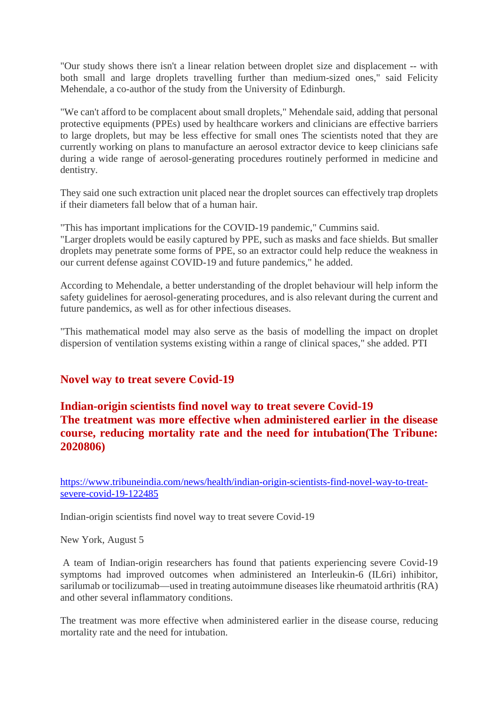"Our study shows there isn't a linear relation between droplet size and displacement -- with both small and large droplets travelling further than medium-sized ones," said Felicity Mehendale, a co-author of the study from the University of Edinburgh.

"We can't afford to be complacent about small droplets," Mehendale said, adding that personal protective equipments (PPEs) used by healthcare workers and clinicians are effective barriers to large droplets, but may be less effective for small ones The scientists noted that they are currently working on plans to manufacture an aerosol extractor device to keep clinicians safe during a wide range of aerosol-generating procedures routinely performed in medicine and dentistry.

They said one such extraction unit placed near the droplet sources can effectively trap droplets if their diameters fall below that of a human hair.

"This has important implications for the COVID-19 pandemic," Cummins said. "Larger droplets would be easily captured by PPE, such as masks and face shields. But smaller droplets may penetrate some forms of PPE, so an extractor could help reduce the weakness in our current defense against COVID-19 and future pandemics," he added.

According to Mehendale, a better understanding of the droplet behaviour will help inform the safety guidelines for aerosol-generating procedures, and is also relevant during the current and future pandemics, as well as for other infectious diseases.

"This mathematical model may also serve as the basis of modelling the impact on droplet dispersion of ventilation systems existing within a range of clinical spaces," she added. PTI

#### **Novel way to treat severe Covid-19**

# **Indian-origin scientists find novel way to treat severe Covid-19 The treatment was more effective when administered earlier in the disease course, reducing mortality rate and the need for intubation(The Tribune: 2020806)**

https://www.tribuneindia.com/news/health/indian-origin-scientists-find-novel-way-to-treatsevere-covid-19-122485

Indian-origin scientists find novel way to treat severe Covid-19

New York, August 5

A team of Indian-origin researchers has found that patients experiencing severe Covid-19 symptoms had improved outcomes when administered an Interleukin-6 (IL6ri) inhibitor, sarilumab or tocilizumab—used in treating autoimmune diseases like rheumatoid arthritis (RA) and other several inflammatory conditions.

The treatment was more effective when administered earlier in the disease course, reducing mortality rate and the need for intubation.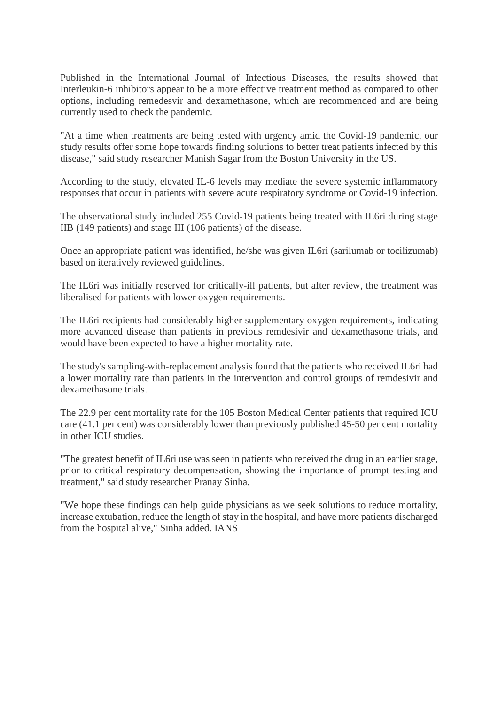Published in the International Journal of Infectious Diseases, the results showed that Interleukin-6 inhibitors appear to be a more effective treatment method as compared to other options, including remedesvir and dexamethasone, which are recommended and are being currently used to check the pandemic.

"At a time when treatments are being tested with urgency amid the Covid-19 pandemic, our study results offer some hope towards finding solutions to better treat patients infected by this disease," said study researcher Manish Sagar from the Boston University in the US.

According to the study, elevated IL-6 levels may mediate the severe systemic inflammatory responses that occur in patients with severe acute respiratory syndrome or Covid-19 infection.

The observational study included 255 Covid-19 patients being treated with IL6ri during stage IIB (149 patients) and stage III (106 patients) of the disease.

Once an appropriate patient was identified, he/she was given IL6ri (sarilumab or tocilizumab) based on iteratively reviewed guidelines.

The IL6ri was initially reserved for critically-ill patients, but after review, the treatment was liberalised for patients with lower oxygen requirements.

The IL6ri recipients had considerably higher supplementary oxygen requirements, indicating more advanced disease than patients in previous remdesivir and dexamethasone trials, and would have been expected to have a higher mortality rate.

The study's sampling-with-replacement analysis found that the patients who received IL6ri had a lower mortality rate than patients in the intervention and control groups of remdesivir and dexamethasone trials.

The 22.9 per cent mortality rate for the 105 Boston Medical Center patients that required ICU care (41.1 per cent) was considerably lower than previously published 45-50 per cent mortality in other ICU studies.

"The greatest benefit of IL6ri use was seen in patients who received the drug in an earlier stage, prior to critical respiratory decompensation, showing the importance of prompt testing and treatment," said study researcher Pranay Sinha.

"We hope these findings can help guide physicians as we seek solutions to reduce mortality, increase extubation, reduce the length of stay in the hospital, and have more patients discharged from the hospital alive," Sinha added. IANS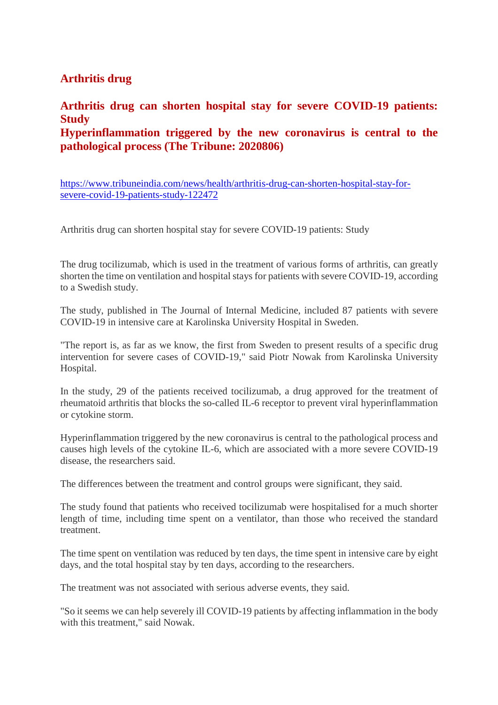## **Arthritis drug**

#### **Arthritis drug can shorten hospital stay for severe COVID-19 patients: Study Hyperinflammation triggered by the new coronavirus is central to the pathological process (The Tribune: 2020806)**

https://www.tribuneindia.com/news/health/arthritis-drug-can-shorten-hospital-stay-forsevere-covid-19-patients-study-122472

Arthritis drug can shorten hospital stay for severe COVID-19 patients: Study

The drug tocilizumab, which is used in the treatment of various forms of arthritis, can greatly shorten the time on ventilation and hospital stays for patients with severe COVID-19, according to a Swedish study.

The study, published in The Journal of Internal Medicine, included 87 patients with severe COVID-19 in intensive care at Karolinska University Hospital in Sweden.

"The report is, as far as we know, the first from Sweden to present results of a specific drug intervention for severe cases of COVID-19," said Piotr Nowak from Karolinska University Hospital.

In the study, 29 of the patients received tocilizumab, a drug approved for the treatment of rheumatoid arthritis that blocks the so-called IL-6 receptor to prevent viral hyperinflammation or cytokine storm.

Hyperinflammation triggered by the new coronavirus is central to the pathological process and causes high levels of the cytokine IL-6, which are associated with a more severe COVID-19 disease, the researchers said.

The differences between the treatment and control groups were significant, they said.

The study found that patients who received tocilizumab were hospitalised for a much shorter length of time, including time spent on a ventilator, than those who received the standard treatment.

The time spent on ventilation was reduced by ten days, the time spent in intensive care by eight days, and the total hospital stay by ten days, according to the researchers.

The treatment was not associated with serious adverse events, they said.

"So it seems we can help severely ill COVID-19 patients by affecting inflammation in the body with this treatment," said Nowak.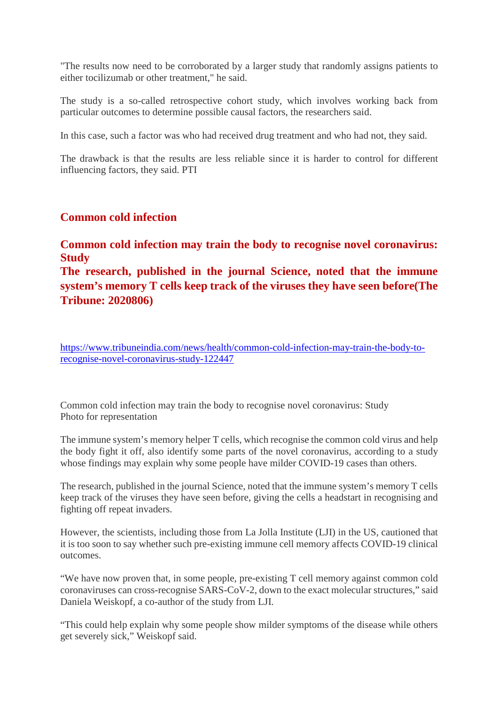"The results now need to be corroborated by a larger study that randomly assigns patients to either tocilizumab or other treatment," he said.

The study is a so-called retrospective cohort study, which involves working back from particular outcomes to determine possible causal factors, the researchers said.

In this case, such a factor was who had received drug treatment and who had not, they said.

The drawback is that the results are less reliable since it is harder to control for different influencing factors, they said. PTI

#### **Common cold infection**

#### **Common cold infection may train the body to recognise novel coronavirus: Study**

**The research, published in the journal Science, noted that the immune system's memory T cells keep track of the viruses they have seen before(The Tribune: 2020806)**

https://www.tribuneindia.com/news/health/common-cold-infection-may-train-the-body-torecognise-novel-coronavirus-study-122447

Common cold infection may train the body to recognise novel coronavirus: Study Photo for representation

The immune system's memory helper T cells, which recognise the common cold virus and help the body fight it off, also identify some parts of the novel coronavirus, according to a study whose findings may explain why some people have milder COVID-19 cases than others.

The research, published in the journal Science, noted that the immune system's memory T cells keep track of the viruses they have seen before, giving the cells a headstart in recognising and fighting off repeat invaders.

However, the scientists, including those from La Jolla Institute (LJI) in the US, cautioned that it is too soon to say whether such pre-existing immune cell memory affects COVID-19 clinical outcomes.

"We have now proven that, in some people, pre-existing T cell memory against common cold coronaviruses can cross-recognise SARS-CoV-2, down to the exact molecular structures," said Daniela Weiskopf, a co-author of the study from LJI.

"This could help explain why some people show milder symptoms of the disease while others get severely sick," Weiskopf said.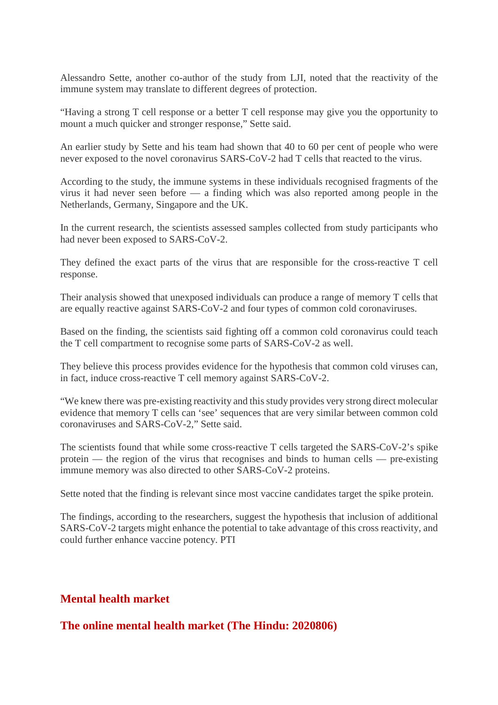Alessandro Sette, another co-author of the study from LJI, noted that the reactivity of the immune system may translate to different degrees of protection.

"Having a strong T cell response or a better T cell response may give you the opportunity to mount a much quicker and stronger response," Sette said.

An earlier study by Sette and his team had shown that 40 to 60 per cent of people who were never exposed to the novel coronavirus SARS-CoV-2 had T cells that reacted to the virus.

According to the study, the immune systems in these individuals recognised fragments of the virus it had never seen before — a finding which was also reported among people in the Netherlands, Germany, Singapore and the UK.

In the current research, the scientists assessed samples collected from study participants who had never been exposed to SARS-CoV-2.

They defined the exact parts of the virus that are responsible for the cross-reactive T cell response.

Their analysis showed that unexposed individuals can produce a range of memory T cells that are equally reactive against SARS-CoV-2 and four types of common cold coronaviruses.

Based on the finding, the scientists said fighting off a common cold coronavirus could teach the T cell compartment to recognise some parts of SARS-CoV-2 as well.

They believe this process provides evidence for the hypothesis that common cold viruses can, in fact, induce cross-reactive T cell memory against SARS-CoV-2.

"We knew there was pre-existing reactivity and this study provides very strong direct molecular evidence that memory T cells can 'see' sequences that are very similar between common cold coronaviruses and SARS-CoV-2," Sette said.

The scientists found that while some cross-reactive T cells targeted the SARS-CoV-2's spike protein — the region of the virus that recognises and binds to human cells — pre-existing immune memory was also directed to other SARS-CoV-2 proteins.

Sette noted that the finding is relevant since most vaccine candidates target the spike protein.

The findings, according to the researchers, suggest the hypothesis that inclusion of additional SARS-CoV-2 targets might enhance the potential to take advantage of this cross reactivity, and could further enhance vaccine potency. PTI

#### **Mental health market**

#### **The online mental health market (The Hindu: 2020806)**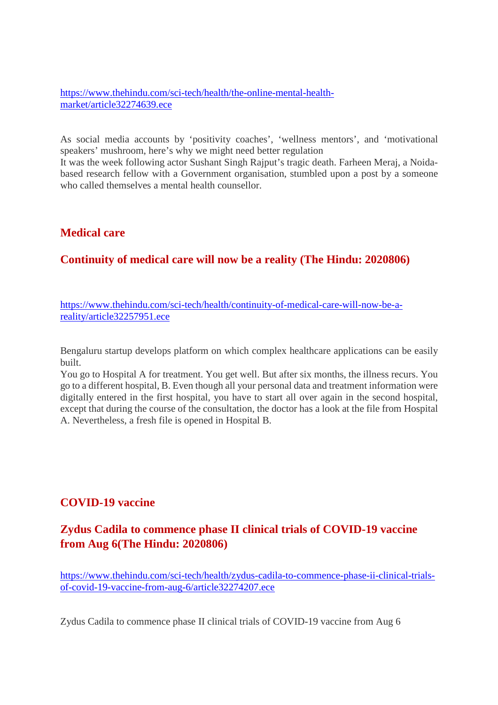https://www.thehindu.com/sci-tech/health/the-online-mental-healthmarket/article32274639.ece

As social media accounts by 'positivity coaches', 'wellness mentors', and 'motivational speakers' mushroom, here's why we might need better regulation

It was the week following actor Sushant Singh Rajput's tragic death. Farheen Meraj, a Noidabased research fellow with a Government organisation, stumbled upon a post by a someone who called themselves a mental health counsellor.

#### **Medical care**

## **Continuity of medical care will now be a reality (The Hindu: 2020806)**

https://www.thehindu.com/sci-tech/health/continuity-of-medical-care-will-now-be-areality/article32257951.ece

Bengaluru startup develops platform on which complex healthcare applications can be easily built.

You go to Hospital A for treatment. You get well. But after six months, the illness recurs. You go to a different hospital, B. Even though all your personal data and treatment information were digitally entered in the first hospital, you have to start all over again in the second hospital, except that during the course of the consultation, the doctor has a look at the file from Hospital A. Nevertheless, a fresh file is opened in Hospital B.

#### **COVID-19 vaccine**

# **Zydus Cadila to commence phase II clinical trials of COVID-19 vaccine from Aug 6(The Hindu: 2020806)**

https://www.thehindu.com/sci-tech/health/zydus-cadila-to-commence-phase-ii-clinical-trialsof-covid-19-vaccine-from-aug-6/article32274207.ece

Zydus Cadila to commence phase II clinical trials of COVID-19 vaccine from Aug 6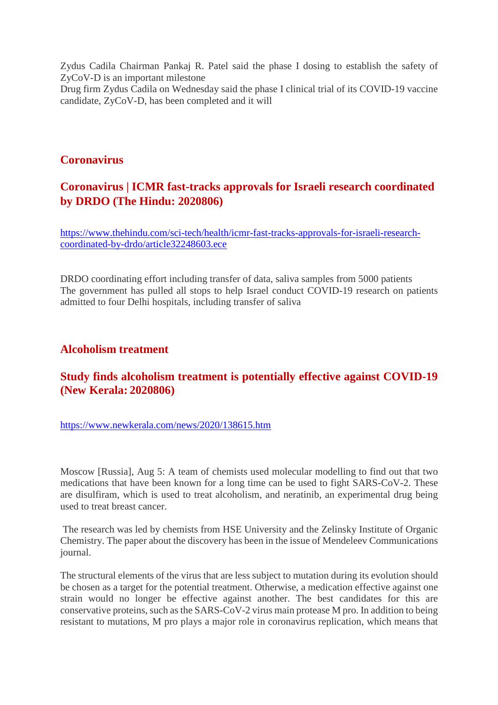Zydus Cadila Chairman Pankaj R. Patel said the phase I dosing to establish the safety of ZyCoV-D is an important milestone

Drug firm Zydus Cadila on Wednesday said the phase I clinical trial of its COVID-19 vaccine candidate, ZyCoV-D, has been completed and it will

#### **Coronavirus**

# **Coronavirus | ICMR fast-tracks approvals for Israeli research coordinated by DRDO (The Hindu: 2020806)**

https://www.thehindu.com/sci-tech/health/icmr-fast-tracks-approvals-for-israeli-researchcoordinated-by-drdo/article32248603.ece

DRDO coordinating effort including transfer of data, saliva samples from 5000 patients The government has pulled all stops to help Israel conduct COVID-19 research on patients admitted to four Delhi hospitals, including transfer of saliva

#### **Alcoholism treatment**

## **Study finds alcoholism treatment is potentially effective against COVID-19 (New Kerala: 2020806)**

https://www.newkerala.com/news/2020/138615.htm

Moscow [Russia], Aug 5: A team of chemists used molecular modelling to find out that two medications that have been known for a long time can be used to fight SARS-CoV-2. These are disulfiram, which is used to treat alcoholism, and neratinib, an experimental drug being used to treat breast cancer.

The research was led by chemists from HSE University and the Zelinsky Institute of Organic Chemistry. The paper about the discovery has been in the issue of Mendeleev Communications journal.

The structural elements of the virus that are less subject to mutation during its evolution should be chosen as a target for the potential treatment. Otherwise, a medication effective against one strain would no longer be effective against another. The best candidates for this are conservative proteins, such as the SARS-CoV-2 virus main protease M pro. In addition to being resistant to mutations, M pro plays a major role in coronavirus replication, which means that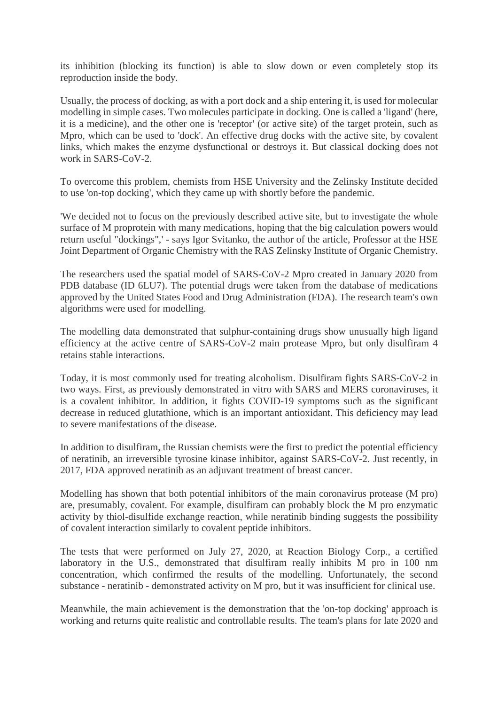its inhibition (blocking its function) is able to slow down or even completely stop its reproduction inside the body.

Usually, the process of docking, as with a port dock and a ship entering it, is used for molecular modelling in simple cases. Two molecules participate in docking. One is called a 'ligand' (here, it is a medicine), and the other one is 'receptor' (or active site) of the target protein, such as Mpro, which can be used to 'dock'. An effective drug docks with the active site, by covalent links, which makes the enzyme dysfunctional or destroys it. But classical docking does not work in SARS-CoV-2.

To overcome this problem, chemists from HSE University and the Zelinsky Institute decided to use 'on-top docking', which they came up with shortly before the pandemic.

'We decided not to focus on the previously described active site, but to investigate the whole surface of M proprotein with many medications, hoping that the big calculation powers would return useful "dockings",' - says Igor Svitanko, the author of the article, Professor at the HSE Joint Department of Organic Chemistry with the RAS Zelinsky Institute of Organic Chemistry.

The researchers used the spatial model of SARS-CoV-2 Mpro created in January 2020 from PDB database (ID 6LU7). The potential drugs were taken from the database of medications approved by the United States Food and Drug Administration (FDA). The research team's own algorithms were used for modelling.

The modelling data demonstrated that sulphur-containing drugs show unusually high ligand efficiency at the active centre of SARS-CoV-2 main protease Mpro, but only disulfiram 4 retains stable interactions.

Today, it is most commonly used for treating alcoholism. Disulfiram fights SARS-CoV-2 in two ways. First, as previously demonstrated in vitro with SARS and MERS coronaviruses, it is a covalent inhibitor. In addition, it fights COVID-19 symptoms such as the significant decrease in reduced glutathione, which is an important antioxidant. This deficiency may lead to severe manifestations of the disease.

In addition to disulfiram, the Russian chemists were the first to predict the potential efficiency of neratinib, an irreversible tyrosine kinase inhibitor, against SARS-CoV-2. Just recently, in 2017, FDA approved neratinib as an adjuvant treatment of breast cancer.

Modelling has shown that both potential inhibitors of the main coronavirus protease (M pro) are, presumably, covalent. For example, disulfiram can probably block the M pro enzymatic activity by thiol-disulfide exchange reaction, while neratinib binding suggests the possibility of covalent interaction similarly to covalent peptide inhibitors.

The tests that were performed on July 27, 2020, at Reaction Biology Corp., a certified laboratory in the U.S., demonstrated that disulfiram really inhibits M pro in 100 nm concentration, which confirmed the results of the modelling. Unfortunately, the second substance - neratinib - demonstrated activity on M pro, but it was insufficient for clinical use.

Meanwhile, the main achievement is the demonstration that the 'on-top docking' approach is working and returns quite realistic and controllable results. The team's plans for late 2020 and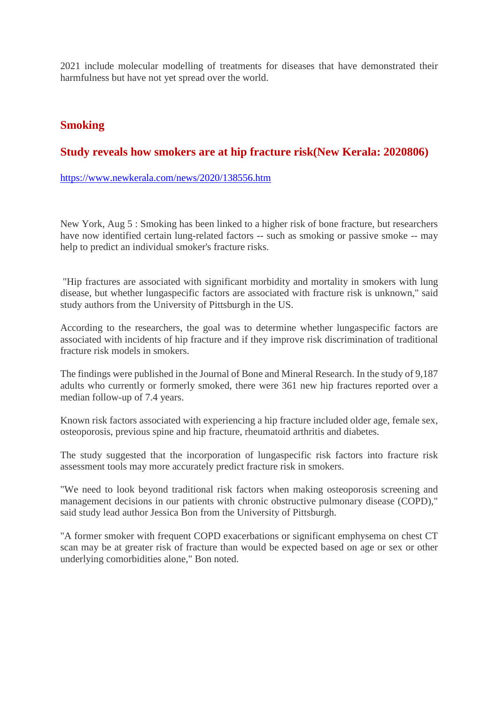2021 include molecular modelling of treatments for diseases that have demonstrated their harmfulness but have not yet spread over the world.

## **Smoking**

## **Study reveals how smokers are at hip fracture risk(New Kerala: 2020806)**

https://www.newkerala.com/news/2020/138556.htm

New York, Aug 5 : Smoking has been linked to a higher risk of bone fracture, but researchers have now identified certain lung-related factors -- such as smoking or passive smoke -- may help to predict an individual smoker's fracture risks.

"Hip fractures are associated with significant morbidity and mortality in smokers with lung disease, but whether lungaspecific factors are associated with fracture risk is unknown," said study authors from the University of Pittsburgh in the US.

According to the researchers, the goal was to determine whether lungaspecific factors are associated with incidents of hip fracture and if they improve risk discrimination of traditional fracture risk models in smokers.

The findings were published in the Journal of Bone and Mineral Research. In the study of 9,187 adults who currently or formerly smoked, there were 361 new hip fractures reported over a median follow-up of 7.4 years.

Known risk factors associated with experiencing a hip fracture included older age, female sex, osteoporosis, previous spine and hip fracture, rheumatoid arthritis and diabetes.

The study suggested that the incorporation of lungaspecific risk factors into fracture risk assessment tools may more accurately predict fracture risk in smokers.

"We need to look beyond traditional risk factors when making osteoporosis screening and management decisions in our patients with chronic obstructive pulmonary disease (COPD)," said study lead author Jessica Bon from the University of Pittsburgh.

"A former smoker with frequent COPD exacerbations or significant emphysema on chest CT scan may be at greater risk of fracture than would be expected based on age or sex or other underlying comorbidities alone," Bon noted.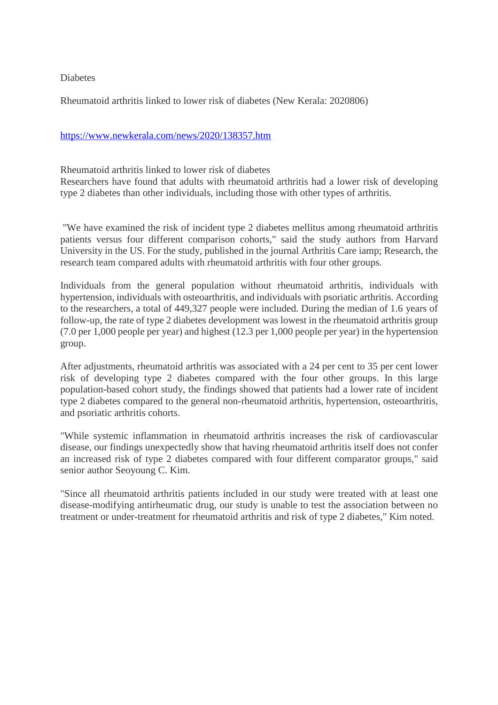Diabetes

Rheumatoid arthritis linked to lower risk of diabetes (New Kerala: 2020806)

#### https://www.newkerala.com/news/2020/138357.htm

Rheumatoid arthritis linked to lower risk of diabetes

Researchers have found that adults with rheumatoid arthritis had a lower risk of developing type 2 diabetes than other individuals, including those with other types of arthritis.

"We have examined the risk of incident type 2 diabetes mellitus among rheumatoid arthritis patients versus four different comparison cohorts," said the study authors from Harvard University in the US. For the study, published in the journal Arthritis Care iamp; Research, the research team compared adults with rheumatoid arthritis with four other groups.

Individuals from the general population without rheumatoid arthritis, individuals with hypertension, individuals with osteoarthritis, and individuals with psoriatic arthritis. According to the researchers, a total of 449,327 people were included. During the median of 1.6 years of follow-up, the rate of type 2 diabetes development was lowest in the rheumatoid arthritis group (7.0 per 1,000 people per year) and highest (12.3 per 1,000 people per year) in the hypertension group.

After adjustments, rheumatoid arthritis was associated with a 24 per cent to 35 per cent lower risk of developing type 2 diabetes compared with the four other groups. In this large population-based cohort study, the findings showed that patients had a lower rate of incident type 2 diabetes compared to the general non-rheumatoid arthritis, hypertension, osteoarthritis, and psoriatic arthritis cohorts.

"While systemic inflammation in rheumatoid arthritis increases the risk of cardiovascular disease, our findings unexpectedly show that having rheumatoid arthritis itself does not confer an increased risk of type 2 diabetes compared with four different comparator groups," said senior author Seoyoung C. Kim.

"Since all rheumatoid arthritis patients included in our study were treated with at least one disease-modifying antirheumatic drug, our study is unable to test the association between no treatment or under-treatment for rheumatoid arthritis and risk of type 2 diabetes," Kim noted.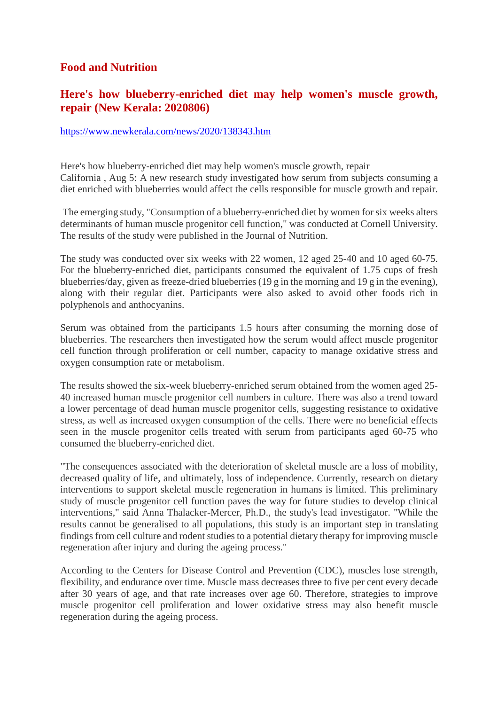#### **Food and Nutrition**

## **Here's how blueberry-enriched diet may help women's muscle growth, repair (New Kerala: 2020806)**

#### https://www.newkerala.com/news/2020/138343.htm

Here's how blueberry-enriched diet may help women's muscle growth, repair California , Aug 5: A new research study investigated how serum from subjects consuming a diet enriched with blueberries would affect the cells responsible for muscle growth and repair.

The emerging study, "Consumption of a blueberry-enriched diet by women for six weeks alters determinants of human muscle progenitor cell function," was conducted at Cornell University. The results of the study were published in the Journal of Nutrition.

The study was conducted over six weeks with 22 women, 12 aged 25-40 and 10 aged 60-75. For the blueberry-enriched diet, participants consumed the equivalent of 1.75 cups of fresh blueberries/day, given as freeze-dried blueberries (19 g in the morning and 19 g in the evening). along with their regular diet. Participants were also asked to avoid other foods rich in polyphenols and anthocyanins.

Serum was obtained from the participants 1.5 hours after consuming the morning dose of blueberries. The researchers then investigated how the serum would affect muscle progenitor cell function through proliferation or cell number, capacity to manage oxidative stress and oxygen consumption rate or metabolism.

The results showed the six-week blueberry-enriched serum obtained from the women aged 25- 40 increased human muscle progenitor cell numbers in culture. There was also a trend toward a lower percentage of dead human muscle progenitor cells, suggesting resistance to oxidative stress, as well as increased oxygen consumption of the cells. There were no beneficial effects seen in the muscle progenitor cells treated with serum from participants aged 60-75 who consumed the blueberry-enriched diet.

"The consequences associated with the deterioration of skeletal muscle are a loss of mobility, decreased quality of life, and ultimately, loss of independence. Currently, research on dietary interventions to support skeletal muscle regeneration in humans is limited. This preliminary study of muscle progenitor cell function paves the way for future studies to develop clinical interventions," said Anna Thalacker-Mercer, Ph.D., the study's lead investigator. "While the results cannot be generalised to all populations, this study is an important step in translating findings from cell culture and rodent studies to a potential dietary therapy for improving muscle regeneration after injury and during the ageing process."

According to the Centers for Disease Control and Prevention (CDC), muscles lose strength, flexibility, and endurance over time. Muscle mass decreases three to five per cent every decade after 30 years of age, and that rate increases over age 60. Therefore, strategies to improve muscle progenitor cell proliferation and lower oxidative stress may also benefit muscle regeneration during the ageing process.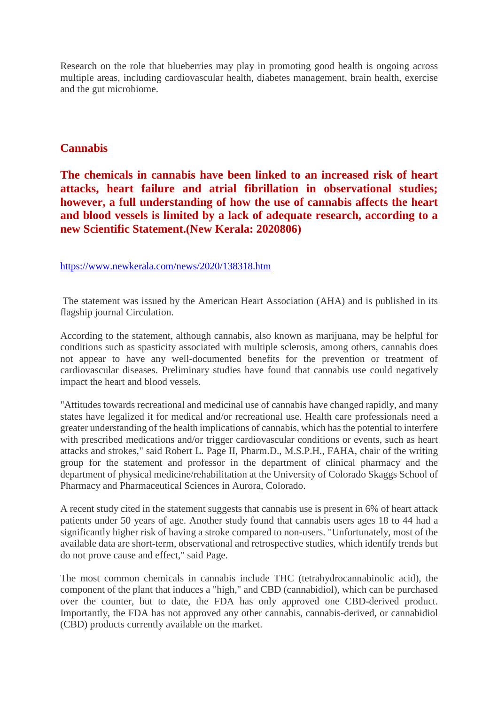Research on the role that blueberries may play in promoting good health is ongoing across multiple areas, including cardiovascular health, diabetes management, brain health, exercise and the gut microbiome.

#### **Cannabis**

**The chemicals in cannabis have been linked to an increased risk of heart attacks, heart failure and atrial fibrillation in observational studies; however, a full understanding of how the use of cannabis affects the heart and blood vessels is limited by a lack of adequate research, according to a new Scientific Statement.(New Kerala: 2020806)**

https://www.newkerala.com/news/2020/138318.htm

The statement was issued by the American Heart Association (AHA) and is published in its flagship journal Circulation.

According to the statement, although cannabis, also known as marijuana, may be helpful for conditions such as spasticity associated with multiple sclerosis, among others, cannabis does not appear to have any well-documented benefits for the prevention or treatment of cardiovascular diseases. Preliminary studies have found that cannabis use could negatively impact the heart and blood vessels.

"Attitudes towards recreational and medicinal use of cannabis have changed rapidly, and many states have legalized it for medical and/or recreational use. Health care professionals need a greater understanding of the health implications of cannabis, which has the potential to interfere with prescribed medications and/or trigger cardiovascular conditions or events, such as heart attacks and strokes," said Robert L. Page II, Pharm.D., M.S.P.H., FAHA, chair of the writing group for the statement and professor in the department of clinical pharmacy and the department of physical medicine/rehabilitation at the University of Colorado Skaggs School of Pharmacy and Pharmaceutical Sciences in Aurora, Colorado.

A recent study cited in the statement suggests that cannabis use is present in 6% of heart attack patients under 50 years of age. Another study found that cannabis users ages 18 to 44 had a significantly higher risk of having a stroke compared to non-users. "Unfortunately, most of the available data are short-term, observational and retrospective studies, which identify trends but do not prove cause and effect," said Page.

The most common chemicals in cannabis include THC (tetrahydrocannabinolic acid), the component of the plant that induces a "high," and CBD (cannabidiol), which can be purchased over the counter, but to date, the FDA has only approved one CBD-derived product. Importantly, the FDA has not approved any other cannabis, cannabis-derived, or cannabidiol (CBD) products currently available on the market.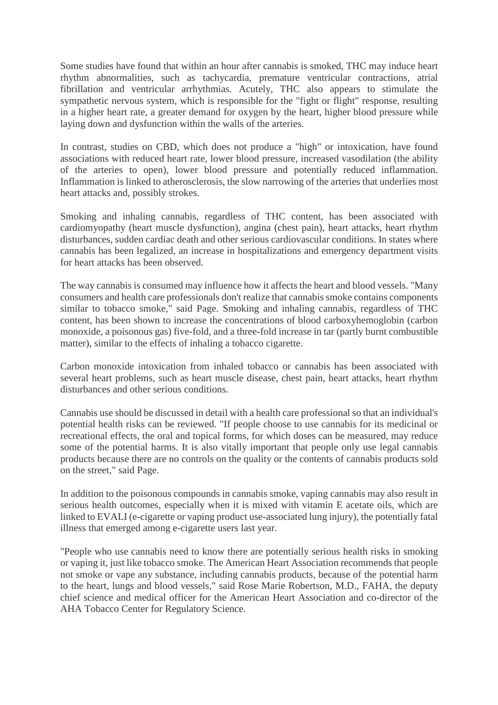Some studies have found that within an hour after cannabis is smoked, THC may induce heart rhythm abnormalities, such as tachycardia, premature ventricular contractions, atrial fibrillation and ventricular arrhythmias. Acutely, THC also appears to stimulate the sympathetic nervous system, which is responsible for the "fight or flight" response, resulting in a higher heart rate, a greater demand for oxygen by the heart, higher blood pressure while laying down and dysfunction within the walls of the arteries.

In contrast, studies on CBD, which does not produce a "high" or intoxication, have found associations with reduced heart rate, lower blood pressure, increased vasodilation (the ability of the arteries to open), lower blood pressure and potentially reduced inflammation. Inflammation is linked to atherosclerosis, the slow narrowing of the arteries that underlies most heart attacks and, possibly strokes.

Smoking and inhaling cannabis, regardless of THC content, has been associated with cardiomyopathy (heart muscle dysfunction), angina (chest pain), heart attacks, heart rhythm disturbances, sudden cardiac death and other serious cardiovascular conditions. In states where cannabis has been legalized, an increase in hospitalizations and emergency department visits for heart attacks has been observed.

The way cannabis is consumed may influence how it affects the heart and blood vessels. "Many consumers and health care professionals don't realize that cannabis smoke contains components similar to tobacco smoke," said Page. Smoking and inhaling cannabis, regardless of THC content, has been shown to increase the concentrations of blood carboxyhemoglobin (carbon monoxide, a poisonous gas) five-fold, and a three-fold increase in tar (partly burnt combustible matter), similar to the effects of inhaling a tobacco cigarette.

Carbon monoxide intoxication from inhaled tobacco or cannabis has been associated with several heart problems, such as heart muscle disease, chest pain, heart attacks, heart rhythm disturbances and other serious conditions.

Cannabis use should be discussed in detail with a health care professional so that an individual's potential health risks can be reviewed. "If people choose to use cannabis for its medicinal or recreational effects, the oral and topical forms, for which doses can be measured, may reduce some of the potential harms. It is also vitally important that people only use legal cannabis products because there are no controls on the quality or the contents of cannabis products sold on the street," said Page.

In addition to the poisonous compounds in cannabis smoke, vaping cannabis may also result in serious health outcomes, especially when it is mixed with vitamin E acetate oils, which are linked to EVALI (e-cigarette or vaping product use-associated lung injury), the potentially fatal illness that emerged among e-cigarette users last year.

"People who use cannabis need to know there are potentially serious health risks in smoking or vaping it, just like tobacco smoke. The American Heart Association recommends that people not smoke or vape any substance, including cannabis products, because of the potential harm to the heart, lungs and blood vessels," said Rose Marie Robertson, M.D., FAHA, the deputy chief science and medical officer for the American Heart Association and co-director of the AHA Tobacco Center for Regulatory Science.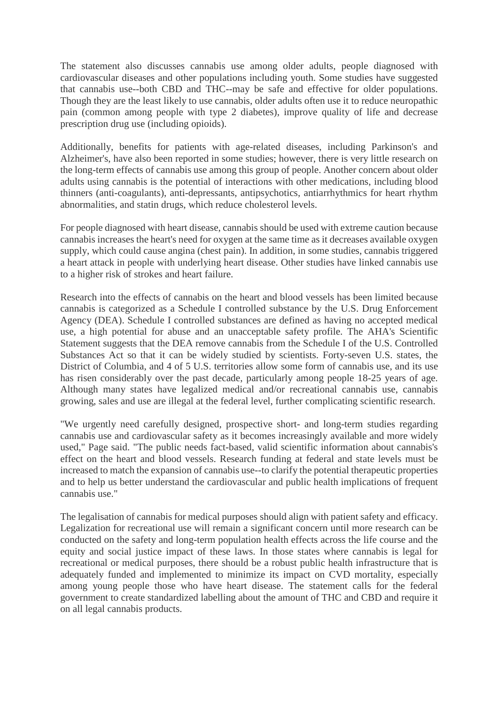The statement also discusses cannabis use among older adults, people diagnosed with cardiovascular diseases and other populations including youth. Some studies have suggested that cannabis use--both CBD and THC--may be safe and effective for older populations. Though they are the least likely to use cannabis, older adults often use it to reduce neuropathic pain (common among people with type 2 diabetes), improve quality of life and decrease prescription drug use (including opioids).

Additionally, benefits for patients with age-related diseases, including Parkinson's and Alzheimer's, have also been reported in some studies; however, there is very little research on the long-term effects of cannabis use among this group of people. Another concern about older adults using cannabis is the potential of interactions with other medications, including blood thinners (anti-coagulants), anti-depressants, antipsychotics, antiarrhythmics for heart rhythm abnormalities, and statin drugs, which reduce cholesterol levels.

For people diagnosed with heart disease, cannabis should be used with extreme caution because cannabis increases the heart's need for oxygen at the same time as it decreases available oxygen supply, which could cause angina (chest pain). In addition, in some studies, cannabis triggered a heart attack in people with underlying heart disease. Other studies have linked cannabis use to a higher risk of strokes and heart failure.

Research into the effects of cannabis on the heart and blood vessels has been limited because cannabis is categorized as a Schedule I controlled substance by the U.S. Drug Enforcement Agency (DEA). Schedule I controlled substances are defined as having no accepted medical use, a high potential for abuse and an unacceptable safety profile. The AHA's Scientific Statement suggests that the DEA remove cannabis from the Schedule I of the U.S. Controlled Substances Act so that it can be widely studied by scientists. Forty-seven U.S. states, the District of Columbia, and 4 of 5 U.S. territories allow some form of cannabis use, and its use has risen considerably over the past decade, particularly among people 18-25 years of age. Although many states have legalized medical and/or recreational cannabis use, cannabis growing, sales and use are illegal at the federal level, further complicating scientific research.

"We urgently need carefully designed, prospective short- and long-term studies regarding cannabis use and cardiovascular safety as it becomes increasingly available and more widely used," Page said. "The public needs fact-based, valid scientific information about cannabis's effect on the heart and blood vessels. Research funding at federal and state levels must be increased to match the expansion of cannabis use--to clarify the potential therapeutic properties and to help us better understand the cardiovascular and public health implications of frequent cannabis use."

The legalisation of cannabis for medical purposes should align with patient safety and efficacy. Legalization for recreational use will remain a significant concern until more research can be conducted on the safety and long-term population health effects across the life course and the equity and social justice impact of these laws. In those states where cannabis is legal for recreational or medical purposes, there should be a robust public health infrastructure that is adequately funded and implemented to minimize its impact on CVD mortality, especially among young people those who have heart disease. The statement calls for the federal government to create standardized labelling about the amount of THC and CBD and require it on all legal cannabis products.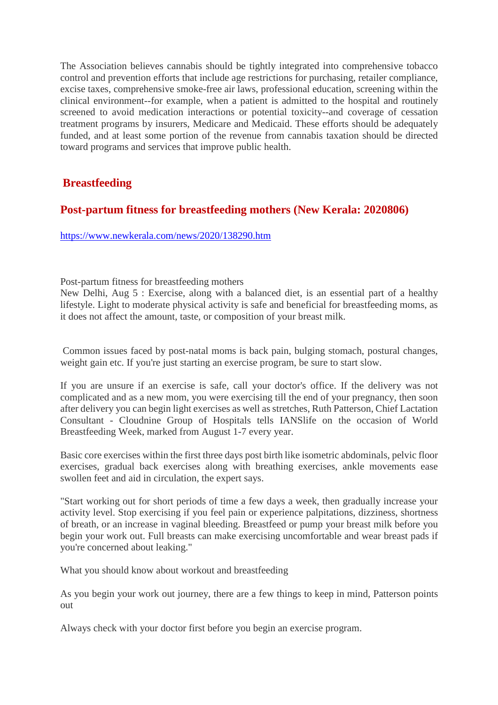The Association believes cannabis should be tightly integrated into comprehensive tobacco control and prevention efforts that include age restrictions for purchasing, retailer compliance, excise taxes, comprehensive smoke-free air laws, professional education, screening within the clinical environment--for example, when a patient is admitted to the hospital and routinely screened to avoid medication interactions or potential toxicity--and coverage of cessation treatment programs by insurers, Medicare and Medicaid. These efforts should be adequately funded, and at least some portion of the revenue from cannabis taxation should be directed toward programs and services that improve public health.

## **Breastfeeding**

## **Post-partum fitness for breastfeeding mothers (New Kerala: 2020806)**

https://www.newkerala.com/news/2020/138290.htm

Post-partum fitness for breastfeeding mothers

New Delhi, Aug 5 : Exercise, along with a balanced diet, is an essential part of a healthy lifestyle. Light to moderate physical activity is safe and beneficial for breastfeeding moms, as it does not affect the amount, taste, or composition of your breast milk.

Common issues faced by post-natal moms is back pain, bulging stomach, postural changes, weight gain etc. If you're just starting an exercise program, be sure to start slow.

If you are unsure if an exercise is safe, call your doctor's office. If the delivery was not complicated and as a new mom, you were exercising till the end of your pregnancy, then soon after delivery you can begin light exercises as well as stretches, Ruth Patterson, Chief Lactation Consultant - Cloudnine Group of Hospitals tells IANSlife on the occasion of World Breastfeeding Week, marked from August 1-7 every year.

Basic core exercises within the first three days post birth like isometric abdominals, pelvic floor exercises, gradual back exercises along with breathing exercises, ankle movements ease swollen feet and aid in circulation, the expert says.

"Start working out for short periods of time a few days a week, then gradually increase your activity level. Stop exercising if you feel pain or experience palpitations, dizziness, shortness of breath, or an increase in vaginal bleeding. Breastfeed or pump your breast milk before you begin your work out. Full breasts can make exercising uncomfortable and wear breast pads if you're concerned about leaking."

What you should know about workout and breastfeeding

As you begin your work out journey, there are a few things to keep in mind, Patterson points out

Always check with your doctor first before you begin an exercise program.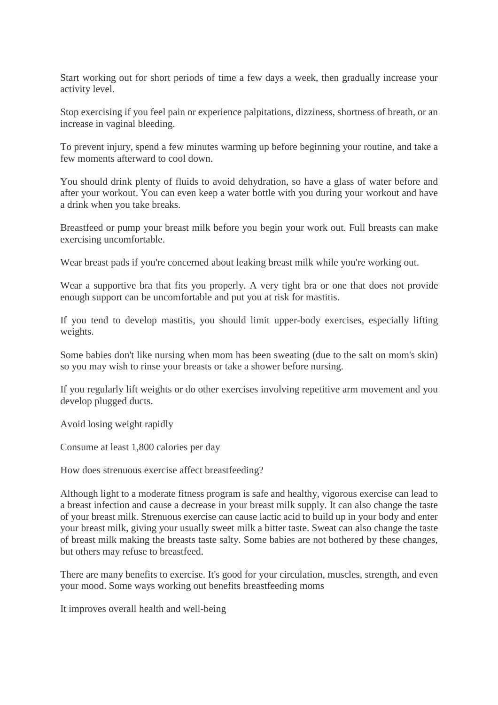Start working out for short periods of time a few days a week, then gradually increase your activity level.

Stop exercising if you feel pain or experience palpitations, dizziness, shortness of breath, or an increase in vaginal bleeding.

To prevent injury, spend a few minutes warming up before beginning your routine, and take a few moments afterward to cool down.

You should drink plenty of fluids to avoid dehydration, so have a glass of water before and after your workout. You can even keep a water bottle with you during your workout and have a drink when you take breaks.

Breastfeed or pump your breast milk before you begin your work out. Full breasts can make exercising uncomfortable.

Wear breast pads if you're concerned about leaking breast milk while you're working out.

Wear a supportive bra that fits you properly. A very tight bra or one that does not provide enough support can be uncomfortable and put you at risk for mastitis.

If you tend to develop mastitis, you should limit upper-body exercises, especially lifting weights.

Some babies don't like nursing when mom has been sweating (due to the salt on mom's skin) so you may wish to rinse your breasts or take a shower before nursing.

If you regularly lift weights or do other exercises involving repetitive arm movement and you develop plugged ducts.

Avoid losing weight rapidly

Consume at least 1,800 calories per day

How does strenuous exercise affect breastfeeding?

Although light to a moderate fitness program is safe and healthy, vigorous exercise can lead to a breast infection and cause a decrease in your breast milk supply. It can also change the taste of your breast milk. Strenuous exercise can cause lactic acid to build up in your body and enter your breast milk, giving your usually sweet milk a bitter taste. Sweat can also change the taste of breast milk making the breasts taste salty. Some babies are not bothered by these changes, but others may refuse to breastfeed.

There are many benefits to exercise. It's good for your circulation, muscles, strength, and even your mood. Some ways working out benefits breastfeeding moms

It improves overall health and well-being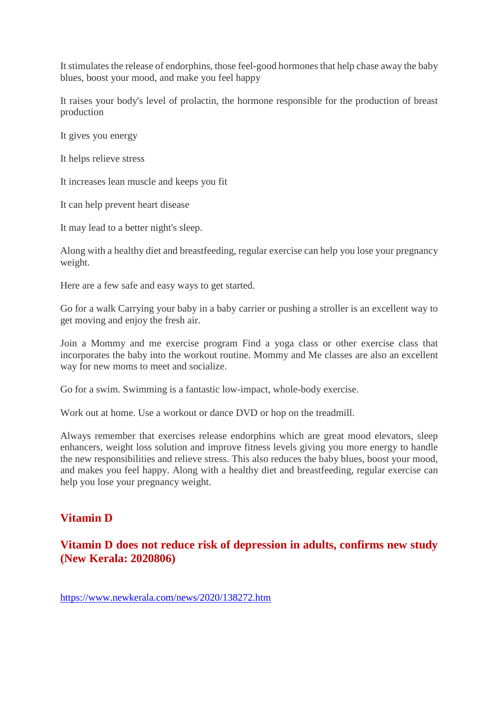It stimulates the release of endorphins, those feel-good hormones that help chase away the baby blues, boost your mood, and make you feel happy

It raises your body's level of prolactin, the hormone responsible for the production of breast production

It gives you energy

It helps relieve stress

It increases lean muscle and keeps you fit

It can help prevent heart disease

It may lead to a better night's sleep.

Along with a healthy diet and breastfeeding, regular exercise can help you lose your pregnancy weight.

Here are a few safe and easy ways to get started.

Go for a walk Carrying your baby in a baby carrier or pushing a stroller is an excellent way to get moving and enjoy the fresh air.

Join a Mommy and me exercise program Find a yoga class or other exercise class that incorporates the baby into the workout routine. Mommy and Me classes are also an excellent way for new moms to meet and socialize.

Go for a swim. Swimming is a fantastic low-impact, whole-body exercise.

Work out at home. Use a workout or dance DVD or hop on the treadmill.

Always remember that exercises release endorphins which are great mood elevators, sleep enhancers, weight loss solution and improve fitness levels giving you more energy to handle the new responsibilities and relieve stress. This also reduces the baby blues, boost your mood, and makes you feel happy. Along with a healthy diet and breastfeeding, regular exercise can help you lose your pregnancy weight.

# **Vitamin D**

**Vitamin D does not reduce risk of depression in adults, confirms new study (New Kerala: 2020806)**

https://www.newkerala.com/news/2020/138272.htm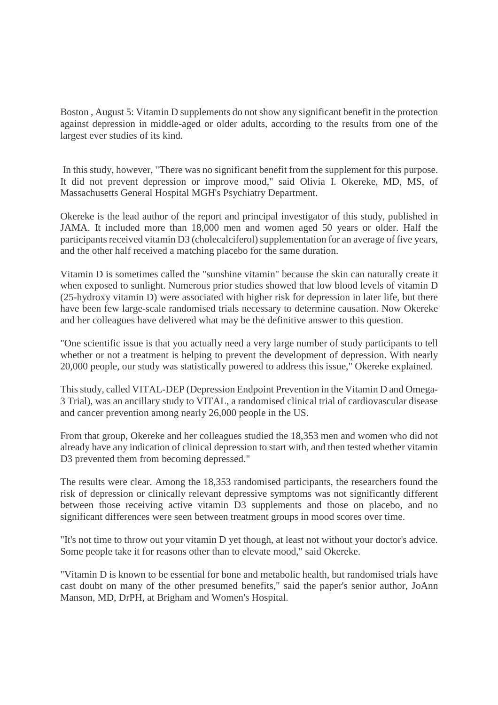Boston , August 5: Vitamin D supplements do not show any significant benefit in the protection against depression in middle-aged or older adults, according to the results from one of the largest ever studies of its kind.

In this study, however, "There was no significant benefit from the supplement for this purpose. It did not prevent depression or improve mood," said Olivia I. Okereke, MD, MS, of Massachusetts General Hospital MGH's Psychiatry Department.

Okereke is the lead author of the report and principal investigator of this study, published in JAMA. It included more than 18,000 men and women aged 50 years or older. Half the participants received vitamin D3 (cholecalciferol) supplementation for an average of five years, and the other half received a matching placebo for the same duration.

Vitamin D is sometimes called the "sunshine vitamin" because the skin can naturally create it when exposed to sunlight. Numerous prior studies showed that low blood levels of vitamin D (25-hydroxy vitamin D) were associated with higher risk for depression in later life, but there have been few large-scale randomised trials necessary to determine causation. Now Okereke and her colleagues have delivered what may be the definitive answer to this question.

"One scientific issue is that you actually need a very large number of study participants to tell whether or not a treatment is helping to prevent the development of depression. With nearly 20,000 people, our study was statistically powered to address this issue," Okereke explained.

This study, called VITAL-DEP (Depression Endpoint Prevention in the Vitamin D and Omega-3 Trial), was an ancillary study to VITAL, a randomised clinical trial of cardiovascular disease and cancer prevention among nearly 26,000 people in the US.

From that group, Okereke and her colleagues studied the 18,353 men and women who did not already have any indication of clinical depression to start with, and then tested whether vitamin D3 prevented them from becoming depressed."

The results were clear. Among the 18,353 randomised participants, the researchers found the risk of depression or clinically relevant depressive symptoms was not significantly different between those receiving active vitamin D3 supplements and those on placebo, and no significant differences were seen between treatment groups in mood scores over time.

"It's not time to throw out your vitamin D yet though, at least not without your doctor's advice. Some people take it for reasons other than to elevate mood," said Okereke.

"Vitamin D is known to be essential for bone and metabolic health, but randomised trials have cast doubt on many of the other presumed benefits," said the paper's senior author, JoAnn Manson, MD, DrPH, at Brigham and Women's Hospital.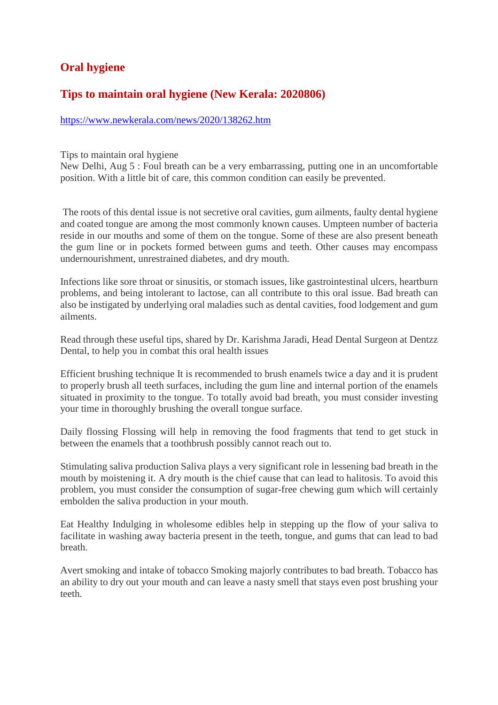## **Oral hygiene**

#### **Tips to maintain oral hygiene (New Kerala: 2020806)**

https://www.newkerala.com/news/2020/138262.htm

Tips to maintain oral hygiene

New Delhi, Aug 5 : Foul breath can be a very embarrassing, putting one in an uncomfortable position. With a little bit of care, this common condition can easily be prevented.

The roots of this dental issue is not secretive oral cavities, gum ailments, faulty dental hygiene and coated tongue are among the most commonly known causes. Umpteen number of bacteria reside in our mouths and some of them on the tongue. Some of these are also present beneath the gum line or in pockets formed between gums and teeth. Other causes may encompass undernourishment, unrestrained diabetes, and dry mouth.

Infections like sore throat or sinusitis, or stomach issues, like gastrointestinal ulcers, heartburn problems, and being intolerant to lactose, can all contribute to this oral issue. Bad breath can also be instigated by underlying oral maladies such as dental cavities, food lodgement and gum ailments.

Read through these useful tips, shared by Dr. Karishma Jaradi, Head Dental Surgeon at Dentzz Dental, to help you in combat this oral health issues

Efficient brushing technique It is recommended to brush enamels twice a day and it is prudent to properly brush all teeth surfaces, including the gum line and internal portion of the enamels situated in proximity to the tongue. To totally avoid bad breath, you must consider investing your time in thoroughly brushing the overall tongue surface.

Daily flossing Flossing will help in removing the food fragments that tend to get stuck in between the enamels that a toothbrush possibly cannot reach out to.

Stimulating saliva production Saliva plays a very significant role in lessening bad breath in the mouth by moistening it. A dry mouth is the chief cause that can lead to halitosis. To avoid this problem, you must consider the consumption of sugar-free chewing gum which will certainly embolden the saliva production in your mouth.

Eat Healthy Indulging in wholesome edibles help in stepping up the flow of your saliva to facilitate in washing away bacteria present in the teeth, tongue, and gums that can lead to bad breath.

Avert smoking and intake of tobacco Smoking majorly contributes to bad breath. Tobacco has an ability to dry out your mouth and can leave a nasty smell that stays even post brushing your teeth.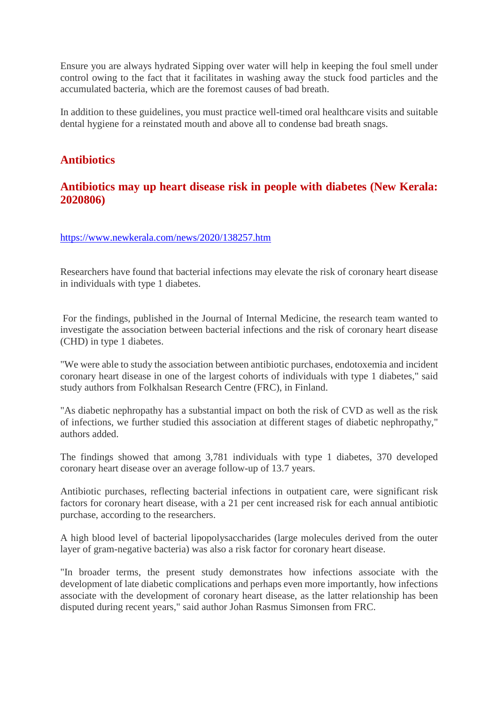Ensure you are always hydrated Sipping over water will help in keeping the foul smell under control owing to the fact that it facilitates in washing away the stuck food particles and the accumulated bacteria, which are the foremost causes of bad breath.

In addition to these guidelines, you must practice well-timed oral healthcare visits and suitable dental hygiene for a reinstated mouth and above all to condense bad breath snags.

# **Antibiotics**

## **Antibiotics may up heart disease risk in people with diabetes (New Kerala: 2020806)**

#### https://www.newkerala.com/news/2020/138257.htm

Researchers have found that bacterial infections may elevate the risk of coronary heart disease in individuals with type 1 diabetes.

For the findings, published in the Journal of Internal Medicine, the research team wanted to investigate the association between bacterial infections and the risk of coronary heart disease (CHD) in type 1 diabetes.

"We were able to study the association between antibiotic purchases, endotoxemia and incident coronary heart disease in one of the largest cohorts of individuals with type 1 diabetes," said study authors from Folkhalsan Research Centre (FRC), in Finland.

"As diabetic nephropathy has a substantial impact on both the risk of CVD as well as the risk of infections, we further studied this association at different stages of diabetic nephropathy," authors added.

The findings showed that among 3,781 individuals with type 1 diabetes, 370 developed coronary heart disease over an average follow-up of 13.7 years.

Antibiotic purchases, reflecting bacterial infections in outpatient care, were significant risk factors for coronary heart disease, with a 21 per cent increased risk for each annual antibiotic purchase, according to the researchers.

A high blood level of bacterial lipopolysaccharides (large molecules derived from the outer layer of gram-negative bacteria) was also a risk factor for coronary heart disease.

"In broader terms, the present study demonstrates how infections associate with the development of late diabetic complications and perhaps even more importantly, how infections associate with the development of coronary heart disease, as the latter relationship has been disputed during recent years," said author Johan Rasmus Simonsen from FRC.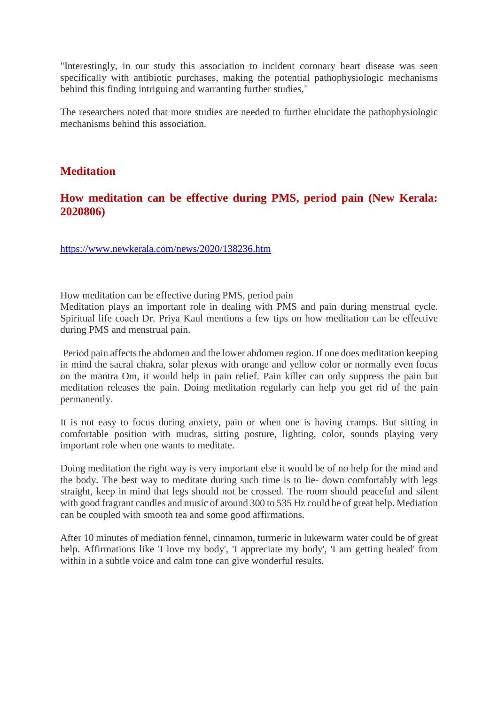"Interestingly, in our study this association to incident coronary heart disease was seen specifically with antibiotic purchases, making the potential pathophysiologic mechanisms behind this finding intriguing and warranting further studies,"

The researchers noted that more studies are needed to further elucidate the pathophysiologic mechanisms behind this association.

#### **Meditation**

#### **How meditation can be effective during PMS, period pain (New Kerala: 2020806)**

https://www.newkerala.com/news/2020/138236.htm

How meditation can be effective during PMS, period pain

Meditation plays an important role in dealing with PMS and pain during menstrual cycle. Spiritual life coach Dr. Priya Kaul mentions a few tips on how meditation can be effective during PMS and menstrual pain.

Period pain affects the abdomen and the lower abdomen region. If one does meditation keeping in mind the sacral chakra, solar plexus with orange and yellow color or normally even focus on the mantra Om, it would help in pain relief. Pain killer can only suppress the pain but meditation releases the pain. Doing meditation regularly can help you get rid of the pain permanently.

It is not easy to focus during anxiety, pain or when one is having cramps. But sitting in comfortable position with mudras, sitting posture, lighting, color, sounds playing very important role when one wants to meditate.

Doing meditation the right way is very important else it would be of no help for the mind and the body. The best way to meditate during such time is to lie- down comfortably with legs straight, keep in mind that legs should not be crossed. The room should peaceful and silent with good fragrant candles and music of around 300 to 535 Hz could be of great help. Mediation can be coupled with smooth tea and some good affirmations.

After 10 minutes of mediation fennel, cinnamon, turmeric in lukewarm water could be of great help. Affirmations like 'I love my body', 'I appreciate my body', 'I am getting healed' from within in a subtle voice and calm tone can give wonderful results.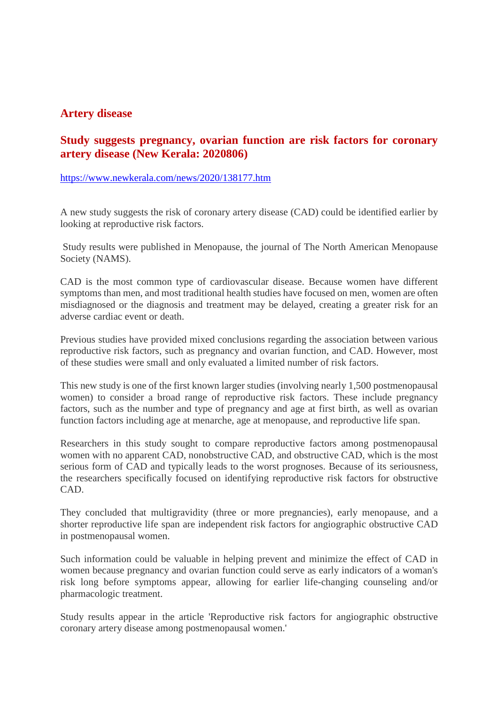#### **Artery disease**

#### **Study suggests pregnancy, ovarian function are risk factors for coronary artery disease (New Kerala: 2020806)**

https://www.newkerala.com/news/2020/138177.htm

A new study suggests the risk of coronary artery disease (CAD) could be identified earlier by looking at reproductive risk factors.

Study results were published in Menopause, the journal of The North American Menopause Society (NAMS).

CAD is the most common type of cardiovascular disease. Because women have different symptoms than men, and most traditional health studies have focused on men, women are often misdiagnosed or the diagnosis and treatment may be delayed, creating a greater risk for an adverse cardiac event or death.

Previous studies have provided mixed conclusions regarding the association between various reproductive risk factors, such as pregnancy and ovarian function, and CAD. However, most of these studies were small and only evaluated a limited number of risk factors.

This new study is one of the first known larger studies (involving nearly 1,500 postmenopausal women) to consider a broad range of reproductive risk factors. These include pregnancy factors, such as the number and type of pregnancy and age at first birth, as well as ovarian function factors including age at menarche, age at menopause, and reproductive life span.

Researchers in this study sought to compare reproductive factors among postmenopausal women with no apparent CAD, nonobstructive CAD, and obstructive CAD, which is the most serious form of CAD and typically leads to the worst prognoses. Because of its seriousness, the researchers specifically focused on identifying reproductive risk factors for obstructive CAD.

They concluded that multigravidity (three or more pregnancies), early menopause, and a shorter reproductive life span are independent risk factors for angiographic obstructive CAD in postmenopausal women.

Such information could be valuable in helping prevent and minimize the effect of CAD in women because pregnancy and ovarian function could serve as early indicators of a woman's risk long before symptoms appear, allowing for earlier life-changing counseling and/or pharmacologic treatment.

Study results appear in the article 'Reproductive risk factors for angiographic obstructive coronary artery disease among postmenopausal women.'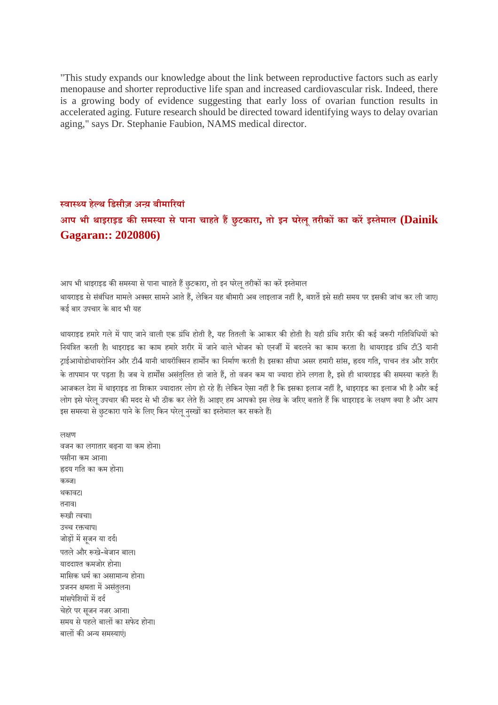"This study expands our knowledge about the link between reproductive factors such as early menopause and shorter reproductive life span and increased cardiovascular risk. Indeed, there is a growing body of evidence suggesting that early loss of ovarian function results in accelerated aging. Future research should be directed toward identifying ways to delay ovarian aging," says Dr. Stephanie Faubion, NAMS medical director.

# **वाय हेथ िडसीज़ अय़ बीमारयां आप भी थाइराइड कसमया सेपाना चाहतेहछुटकारा, तो इन घरेलूतरीकका करइतेमाल (Dainik Gagaran:: 2020806)**

आप भी थाइराइड की समस्या से पाना चाहते हैं छुटकारा, तो इन घरेलू तरीकों का करें इस्तेमाल थायराइड से संबंधित मामले अक्सर सामने आते हैं, लेकिन यह बीमारी अब लाइलाज नहीं है, बशतें इसे सही समय पर इसकी जांच कर ली जाए। कई बार उपचार के बाद भी यह

थायराइड हमारे गले में पाए जाने वाली एक ग्रंथि होती है, यह तितली के आकार की होती है। यही ग्रंथि शरीर की कई जरूरी गतिविधियों को नियंत्रित करती है। थाइराइड का काम हमारे शरीर में जाने वाले भोजन को एनर्जी में बदलने का काम करता है। थायराइड ग्रंथि टी3 यानी टाईआयोडोथायरोनिन और टी4 यानी थायरॉक्सिन हार्मोंन का निर्माण करती है। इसका सीधा असर हमारी सांस, ह्रदय गति, पाचन तंत्र और शरीर के तापमान पर पड़ता है। जब ये हार्मोंस असंतुलित हो जाते हैं, तो वजन कम या ज्यादा होने लगता है, इसे ही थायराइड की समस्या कहते हैं। आजकल देश में थाइराइड ता शिकार ज्यादातर लोग हो रहे हैं। लेकिन ऐसा नहीं है कि इसका इलाज नहीं है, थाइराइड का इलाज भी है और कई लोग इसे घरेलू उपचार की मदद से भी ठीक कर लेते हैं। आइए हम आपको इस लेख के जरिए बताते हैं कि थाइराइड के लक्षण क्या है और आप इस समस्या से छटकारा पाने के लिए किन घरेल नस्खों का इस्तेमाल कर सकते हैं।

लण वजन का लगातार बढ़ना या कम होना। पसीना कम आना। दय गित का कम होना। कज। थकावट। तनाव। खी वचा। उच्च रक्तचाप। जोड़ों में सजन या दर्द। पतलेऔर खे-बेजान बाल। याददात कमजोर होना। मासिक धर्म का असामान्य होना। प्रजनन क्षमता में असंतलन। मांसपेशियों में दर्द चेहरे पर सजन नजर आना। समय से पहले बालों का सफेद होना। बालों की अन्य समस्याएं।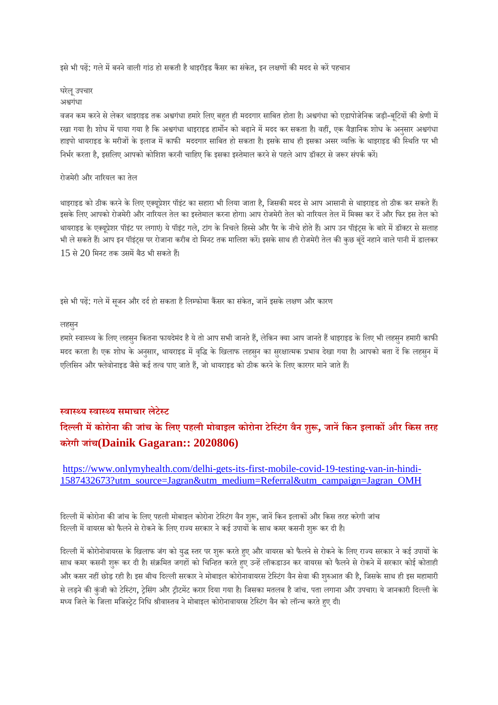इसे भी पढ़ें: गले में बनने वाली गांठ हो सकती है थाइरॉइड कैंसर का संकेत, इन लक्षणों की मदद से करें पहचान

#### घरेलूउपचार

#### अगंधा

वजन कम करने से लेकर थाइराइड तक अश्वगंधा हमारे लिए बहत ही मददगार साबित होता है। अश्वगंधा को एडापोजेनिक जड़ी-बुटियों की श्रेणी में रखा गया है। शोध में पाया गया है कि अश्वगंधा थाइराइड हार्मोन को बढ़ाने में मदद कर सकता है। वहीं, एक वैज्ञानिक शोध के अनुसार अश्वगंधा हाइपो थायराइड के मरीजों के इलाज में काफी मददगार साबित हो सकता है। इसके साथ ही इसका असर व्यक्ति के थाइराइड की स्थिति पर भी निर्भर करता है, इसलिए आपको कोशिश करनी चाहिए कि इसका इस्तेमाल करने से पहले आप डॉक्टर से जरूर संपर्क करें।

#### रोजमेरी और नारयल का तेल

थाइराइड को ठीक करने के लिए एक्यूप्रेशर पॉइंट का सहारा भी लिया जाता है, जिसकी मदद से आप आसानी से थाइराइड तो ठीक कर सकते हैं। इसके लिए आपको रोजमेरी और नारियल तेल का इस्तेमाल करना होगा। आप रोजमेरी तेल को नारियल तेल में मिक्स कर दें और फिर इस तेल को थायराइड के एक्यूप्रेशर पॉइंट पर लगाएं। ये पॉइंट गले, टांग के निचले हिस्से और पैर के नीचे होते हैं। आप उन पॉइंट्स के बारे में डॉक्टर से सलाह भी ले सकते हैं। आप इन पॉइंट्स पर रोजाना करीब दो मिनट तक मालिश करें। इसके साथ ही रोजमेरी तेल की कुछ बूंदें नहाने वाले पानी में डालकर  $15$  से  $20$  मिनट तक उसमें बैठ भी सकते हैं।

इसे भी पढ़ें: गले में सूजन और दर्द हो सकता है लिम्फोमा कैंसर का संकेत, जानें इसके लक्षण और कारण

#### लहसनु

हमारे स्वास्थ्य के लिए लहसुन कितना फायदेमंद है ये तो आप सभी जानते हैं, लेकिन क्या आप जानते हैं थाइराइड के लिए भी लहसुन हमारी काफी मदद करता है। एक शोध के अनुसार, थायराइड में वृद्धि के खिलाफ लहसुन का सुरक्षात्मक प्रभाव देखा गया है। आपको बता दें कि लहसुन में एलिसिन और फ्लेवोनाइड जैसे कई तत्व पाए जाते हैं, जो थायराइड को ठीक करने के लिए कारगर माने जाते हैं।

#### **वाय वाय समाचार लेटेट**

**िदली मकोरोना कजांच के िलए पहली मोबाइल कोरोना टेिटंग वैन शु, जानिकन इलाकऔर िकस तरह करेगी जांच(Dainik Gagaran:: 2020806)**

#### https://www.onlymyhealth.com/delhi-gets-its-first-mobile-covid-19-testing-van-in-hindi-1587432673?utm\_source=Jagran&utm\_medium=Referral&utm\_campaign=Jagran\_OMH

दिल्ली में कोरोना की जांच के लिए पहली मोबाइल कोरोना टेस्टिंग वैन शुरू, जानें किन इलाकों और किस तरह करेगी जांच दिल्ली में वायरस को फैलने से रोकने के लिए राज्य सरकार ने कई उपायों के साथ कमर कसनी शुरू कर दी है।

दिल्ली में कोरोनोवायरस के खिलाफ जंग को युद्ध स्तर पर शुरू करते हुए और वायरस को फैलने से रोकने के लिए राज्य सरकार ने कई उपायों के साथ कमर कसनी शुरू कर दी है। संक्रमित जगहों को चिन्हित करते हुए उन्हें लॉकडाउन कर वायरस को फैलने से रोकने में सरकार कोई कोताही और कसर नहीं छोड़ रही है। इस बीच दिल्ली सरकार ने मोबाइल कोरोनावायरस टेस्टिंग वैन सेवा की शुरुआत की है, जिसके साथ ही इस महामारी से लड़ने की कुंजी को टेस्टिंग, ट्रेसिंग और ट्रीटमेंट करार दिया गया है। जिसका मतलब है जांच. पता लगाना और उपचार। ये जानकारी दिल्ली के मध्य जिले के जिला मजिस्टेट निधि श्रीवास्तव ने मोबाइल कोरोनावायरस टेस्टिंग वैन को लॉन्च करते हुए दी।